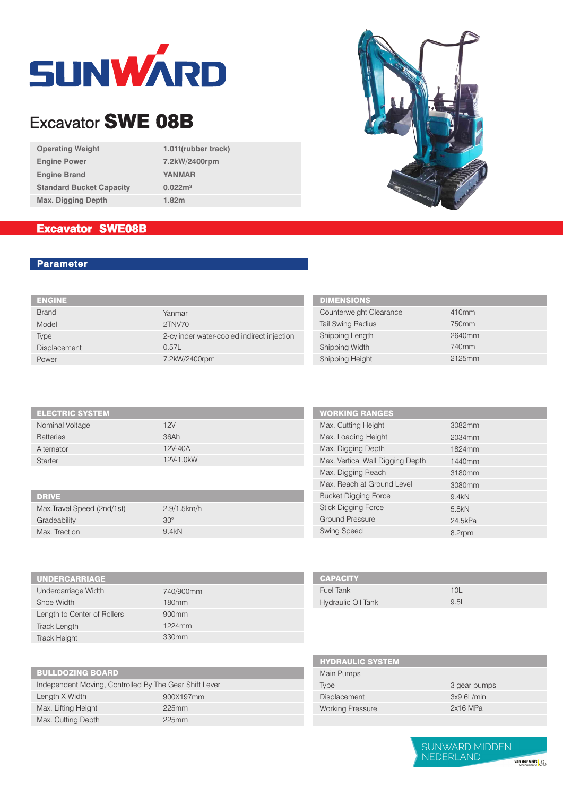

# Excavator SWE 08B

| <b>Operating Weight</b>         |
|---------------------------------|
| <b>Engine Power</b>             |
| <b>Engine Brand</b>             |
| <b>Standard Bucket Capacity</b> |
| <b>Max. Digging Depth</b>       |

**1.01t (rubber track)7.2kW/2400rpm YANMAR 0.022m³ 1.82m**

## Excavator SWE08B

### **Parameter**

| <b>ENGINE</b> |                                            |
|---------------|--------------------------------------------|
| <b>Brand</b>  | Yanmar                                     |
| Model         | 2TNV70                                     |
| Type          | 2-cylinder water-cooled indirect injection |
| Displacement  | 0.57L                                      |
| Power         | 7.2kW/2400rpm                              |
|               |                                            |

| <b>DIMENSIONS</b>        |        |
|--------------------------|--------|
| Counterweight Clearance  | 410mm  |
| <b>Tail Swing Radius</b> | 750mm  |
| Shipping Length          | 2640mm |
| Shipping Width           | 740mm  |
| Shipping Height          | 2125mm |

ı

| <b>ELECTRIC SYSTEM</b> |           |
|------------------------|-----------|
| Nominal Voltage        | 12V       |
| <b>Batteries</b>       | 36Ah      |
| Alternator             | 12V-40A   |
| Starter                | 12V-1.0kW |
|                        |           |

| <b>DRIVE</b>                |                |
|-----------------------------|----------------|
| Max. Travel Speed (2nd/1st) | $2.9/1.5$ km/h |
| Gradeability                | $30^\circ$     |
| Max. Traction               | 9.4kN          |

| <b>UNDERCARRIAGE</b>        |                   |  |
|-----------------------------|-------------------|--|
| Undercarriage Width         | 740/900mm         |  |
| Shoe Width                  | 180 <sub>mm</sub> |  |
| Length to Center of Rollers | 900 <sub>mm</sub> |  |
| Track Length                | 1224mm            |  |
| <b>Track Height</b>         | 330mm             |  |
|                             |                   |  |

| <b>BULLDOZING BOARD</b> |  |  |
|-------------------------|--|--|
|                         |  |  |
|                         |  |  |

Independent Moving, Controlled By The Gear Shift Lever Length X Width Max. Lifting Height Max. Cutting Depth

900X197mm 225mm 225mm

| <b>WORKING RANGES</b>            |         |
|----------------------------------|---------|
| Max. Cutting Height              | 3082mm  |
| Max. Loading Height              | 2034mm  |
| Max. Digging Depth               | 1824mm  |
| Max. Vertical Wall Digging Depth | 1440mm  |
| Max. Digging Reach               | 3180mm  |
| Max. Reach at Ground Level       | 3080mm  |
| <b>Bucket Digging Force</b>      | 9.4kN   |
| <b>Stick Digging Force</b>       | 5.8kN   |
| <b>Ground Pressure</b>           | 24.5kPa |
| <b>Swing Speed</b>               | 8.2rpm  |

| <b>CAPACITY</b>    |      |
|--------------------|------|
| Fuel Tank          | 10I  |
| Hydraulic Oil Tank | 9.5L |

| <b>HYDRAULIC SYSTEM</b> |               |
|-------------------------|---------------|
| Main Pumps              |               |
| Type                    | 3 gear pumps  |
| <b>Displacement</b>     | $3x9.6$ L/min |
| <b>Working Pressure</b> | $2x16$ MPa    |
|                         |               |